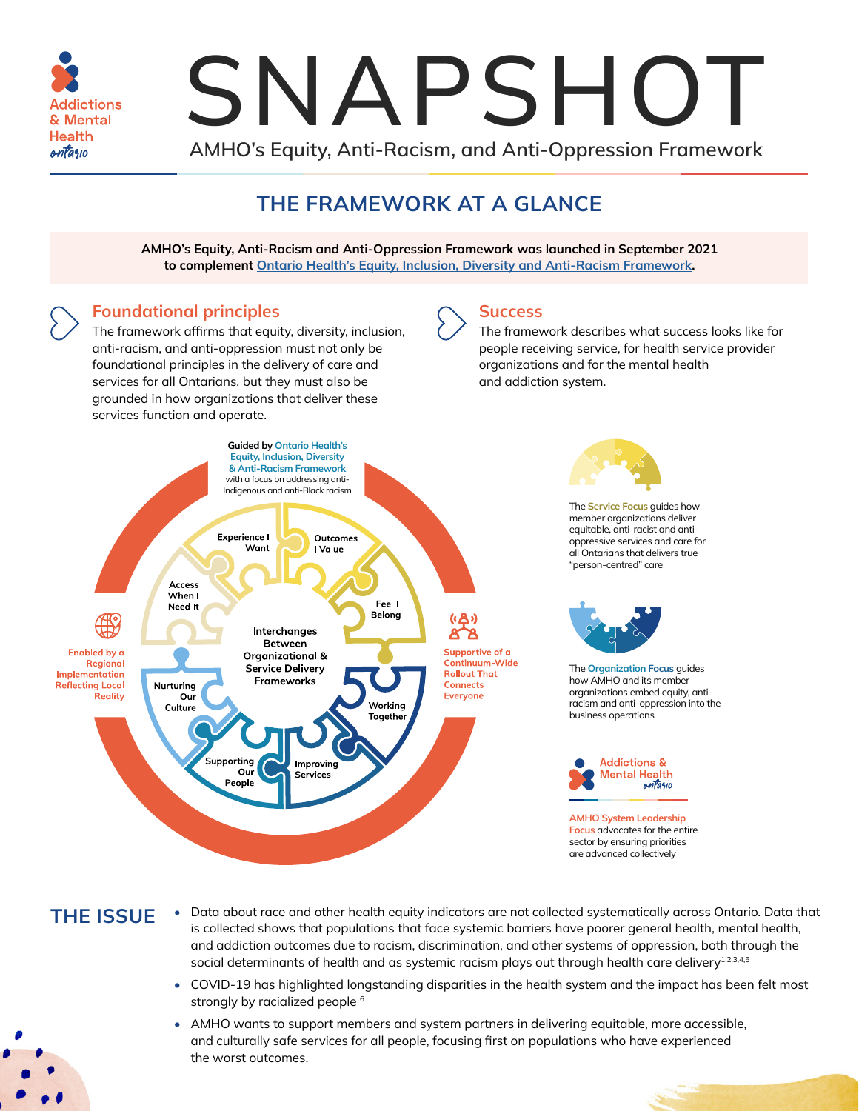<span id="page-0-0"></span>

# SNAPSHOT

**AMHO's Equity, Anti-Racism, and Anti-Oppression Framework** 

# **THE FRAMEWORK AT A GLANCE**

**AMHO's Equity, Anti-Racism and Anti-Oppression Framework was launched in September 2021 to complement [Ontario Health's Equity, Inclusion, Diversity and Anti-Racism Framework](https://www.ontariohealth.ca/sites/ontariohealth/files/2020-12/Equity%2520Framework.pdf).**

#### **Foundational principles**

The framework affirms that equity, diversity, inclusion, anti-racism, and anti-oppression must not only be foundational principles in the delivery of care and services for all Ontarians, but they must also be grounded in how organizations that deliver these services function and operate.

#### **Success**

The framework describes what success looks like for people receiving service, for health service provider organizations and for the mental health and addiction system.



## **THE ISSUE**

- Data about race and other health equity indicators are not collected systematically across Ontario. Data that is collected shows that populations that face systemic barriers have poorer general health, mental health, and addiction outcomes due to racism, discrimination, and other systems of oppression, both through the social determinants of health and as systemic racism plays out through health care delivery<sup>[1,2](#page-1-0),[3,4,5](#page-1-0)</sup>
- COVID-19 has highlighted longstanding disparities in the health system and the impact has been felt most strongly by racialized people <sup>[6](#page-1-0)</sup>
- AMHO wants to support members and system partners in delivering equitable, more accessible, and culturally safe services for all people, focusing first on populations who have experienced the worst outcomes.